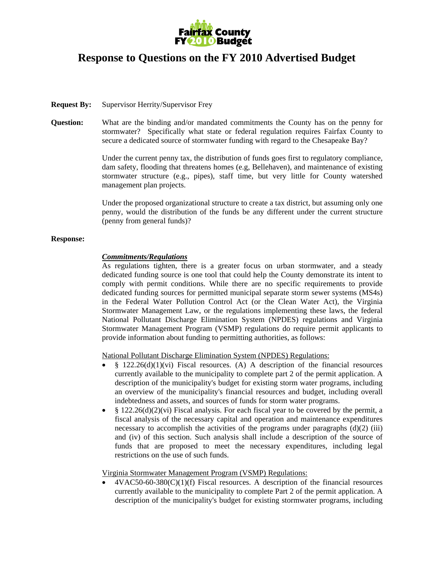

## **Response to Questions on the FY 2010 Advertised Budget**

**Request By:** Supervisor Herrity/Supervisor Frey

**Question:** What are the binding and/or mandated commitments the County has on the penny for stormwater? Specifically what state or federal regulation requires Fairfax County to secure a dedicated source of stormwater funding with regard to the Chesapeake Bay?

> Under the current penny tax, the distribution of funds goes first to regulatory compliance, dam safety, flooding that threatens homes (e.g, Bellehaven), and maintenance of existing stormwater structure (e.g., pipes), staff time, but very little for County watershed management plan projects.

> Under the proposed organizational structure to create a tax district, but assuming only one penny, would the distribution of the funds be any different under the current structure (penny from general funds)?

## **Response:**

## *Commitments/Regulations*

As regulations tighten, there is a greater focus on urban stormwater, and a steady dedicated funding source is one tool that could help the County demonstrate its intent to comply with permit conditions. While there are no specific requirements to provide dedicated funding sources for permitted municipal separate storm sewer systems (MS4s) in the Federal Water Pollution Control Act (or the Clean Water Act), the Virginia Stormwater Management Law, or the regulations implementing these laws, the federal National Pollutant Discharge Elimination System (NPDES) regulations and Virginia Stormwater Management Program (VSMP) regulations do require permit applicants to provide information about funding to permitting authorities, as follows:

National Pollutant Discharge Elimination System (NPDES) Regulations:

- $§$  122.26(d)(1)(vi) Fiscal resources. (A) A description of the financial resources currently available to the municipality to complete part 2 of the permit application. A description of the municipality's budget for existing storm water programs, including an overview of the municipality's financial resources and budget, including overall indebtedness and assets, and sources of funds for storm water programs.
- § 122.26(d)(2)(vi) Fiscal analysis. For each fiscal year to be covered by the permit, a fiscal analysis of the necessary capital and operation and maintenance expenditures necessary to accomplish the activities of the programs under paragraphs  $(d)(2)$  (iii) and (iv) of this section. Such analysis shall include a description of the source of funds that are proposed to meet the necessary expenditures, including legal restrictions on the use of such funds.

Virginia Stormwater Management Program (VSMP) Regulations:

 $4VAC50-60-380(C)(1)(f)$  Fiscal resources. A description of the financial resources currently available to the municipality to complete Part 2 of the permit application. A description of the municipality's budget for existing stormwater programs, including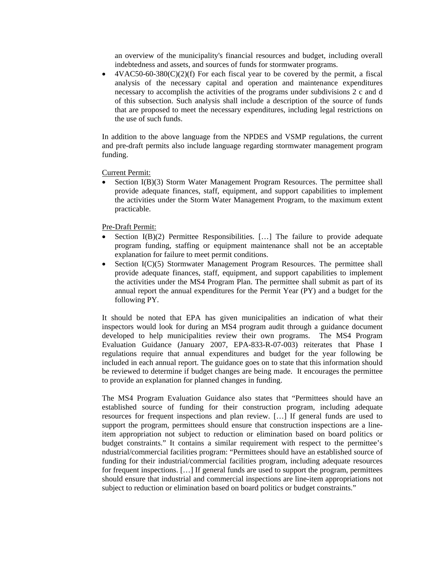an overview of the municipality's financial resources and budget, including overall indebtedness and assets, and sources of funds for stormwater programs.

•  $4VAC50-60-380(C)(2)(f)$  For each fiscal year to be covered by the permit, a fiscal analysis of the necessary capital and operation and maintenance expenditures necessary to accomplish the activities of the programs under subdivisions 2 c and d of this subsection. Such analysis shall include a description of the source of funds that are proposed to meet the necessary expenditures, including legal restrictions on the use of such funds.

In addition to the above language from the NPDES and VSMP regulations, the current and pre-draft permits also include language regarding stormwater management program funding.

Current Permit:

• Section I(B)(3) Storm Water Management Program Resources. The permittee shall provide adequate finances, staff, equipment, and support capabilities to implement the activities under the Storm Water Management Program, to the maximum extent practicable.

Pre-Draft Permit:

- Section  $I(B)(2)$  Permittee Responsibilities. [...] The failure to provide adequate program funding, staffing or equipment maintenance shall not be an acceptable explanation for failure to meet permit conditions.
- Section I(C)(5) Stormwater Management Program Resources. The permittee shall provide adequate finances, staff, equipment, and support capabilities to implement the activities under the MS4 Program Plan. The permittee shall submit as part of its annual report the annual expenditures for the Permit Year (PY) and a budget for the following PY.

It should be noted that EPA has given municipalities an indication of what their inspectors would look for during an MS4 program audit through a guidance document developed to help municipalities review their own programs. The MS4 Program Evaluation Guidance (January 2007, EPA-833-R-07-003) reiterates that Phase I regulations require that annual expenditures and budget for the year following be included in each annual report. The guidance goes on to state that this information should be reviewed to determine if budget changes are being made. It encourages the permittee to provide an explanation for planned changes in funding.

The MS4 Program Evaluation Guidance also states that "Permittees should have an established source of funding for their construction program, including adequate resources for frequent inspections and plan review. […] If general funds are used to support the program, permittees should ensure that construction inspections are a lineitem appropriation not subject to reduction or elimination based on board politics or budget constraints." It contains a similar requirement with respect to the permittee's ndustrial/commercial facilities program: "Permittees should have an established source of funding for their industrial/commercial facilities program, including adequate resources for frequent inspections. […] If general funds are used to support the program, permittees should ensure that industrial and commercial inspections are line-item appropriations not subject to reduction or elimination based on board politics or budget constraints."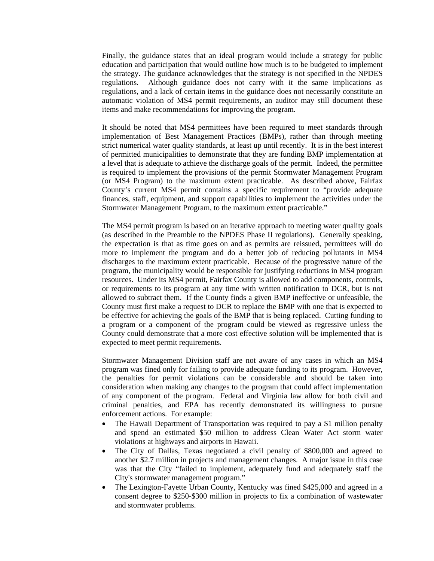Finally, the guidance states that an ideal program would include a strategy for public education and participation that would outline how much is to be budgeted to implement the strategy. The guidance acknowledges that the strategy is not specified in the NPDES regulations. Although guidance does not carry with it the same implications as regulations, and a lack of certain items in the guidance does not necessarily constitute an automatic violation of MS4 permit requirements, an auditor may still document these items and make recommendations for improving the program.

It should be noted that MS4 permittees have been required to meet standards through implementation of Best Management Practices (BMPs), rather than through meeting strict numerical water quality standards, at least up until recently. It is in the best interest of permitted municipalities to demonstrate that they are funding BMP implementation at a level that is adequate to achieve the discharge goals of the permit. Indeed, the permittee is required to implement the provisions of the permit Stormwater Management Program (or MS4 Program) to the maximum extent practicable. As described above, Fairfax County's current MS4 permit contains a specific requirement to "provide adequate finances, staff, equipment, and support capabilities to implement the activities under the Stormwater Management Program, to the maximum extent practicable."

The MS4 permit program is based on an iterative approach to meeting water quality goals (as described in the Preamble to the NPDES Phase II regulations). Generally speaking, the expectation is that as time goes on and as permits are reissued, permittees will do more to implement the program and do a better job of reducing pollutants in MS4 discharges to the maximum extent practicable. Because of the progressive nature of the program, the municipality would be responsible for justifying reductions in MS4 program resources. Under its MS4 permit, Fairfax County is allowed to add components, controls, or requirements to its program at any time with written notification to DCR, but is not allowed to subtract them. If the County finds a given BMP ineffective or unfeasible, the County must first make a request to DCR to replace the BMP with one that is expected to be effective for achieving the goals of the BMP that is being replaced. Cutting funding to a program or a component of the program could be viewed as regressive unless the County could demonstrate that a more cost effective solution will be implemented that is expected to meet permit requirements.

Stormwater Management Division staff are not aware of any cases in which an MS4 program was fined only for failing to provide adequate funding to its program. However, the penalties for permit violations can be considerable and should be taken into consideration when making any changes to the program that could affect implementation of any component of the program. Federal and Virginia law allow for both civil and criminal penalties, and EPA has recently demonstrated its willingness to pursue enforcement actions. For example:

- The Hawaii Department of Transportation was required to pay a \$1 million penalty and spend an estimated \$50 million to address Clean Water Act storm water violations at highways and airports in Hawaii.
- The City of Dallas, Texas negotiated a civil penalty of \$800,000 and agreed to another \$2.7 million in projects and management changes. A major issue in this case was that the City "failed to implement, adequately fund and adequately staff the City's stormwater management program."
- The Lexington-Fayette Urban County, Kentucky was fined \$425,000 and agreed in a consent degree to \$250-\$300 million in projects to fix a combination of wastewater and stormwater problems.